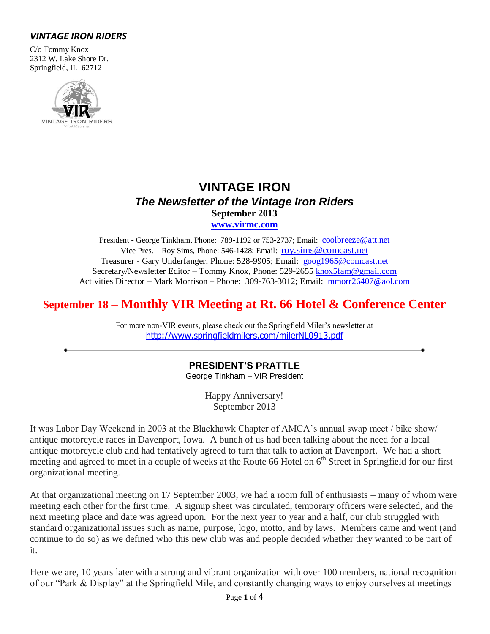# *VINTAGE IRON RIDERS*

C/o Tommy Knox 2312 W. Lake Shore Dr. Springfield, IL 62712



# **VINTAGE IRON** *The Newsletter of the Vintage Iron Riders* **September 2013 [www.virmc.com](http://www.virmc.com/)**

President - George Tinkham, Phone: 789-1192 or 753-2737; Email: [coolbreeze@att.net](mailto:coolbreeze@att.net) Vice Pres. – Roy Sims, Phone: 546-1428; Email: [roy.sims@comcast.net](mailto:roy.sims@comcast.net) Treasurer - Gary Underfanger, Phone: 528-9905; Email: [goog1965@comcast.net](mailto:goog1965@comcast.net) Secretary/Newsletter Editor – Tommy Knox, Phone: 529-2655 [knox5fam@gmail.com](mailto:knox5fam@gmail.com) Activities Director – Mark Morrison – Phone: 309-763-3012; Email: [mmorr26407@aol.com](mailto:mmorr26407@aol.com)

# **September 18 – Monthly VIR Meeting at Rt. 66 Hotel & Conference Center**

For more non-VIR events, please check out the Springfield Miler's newsletter at [http://www.springfieldmilers.com/milerNL0913.pdf](http://www.springfieldmilers.com/milerNL0113.pdf)

# **PRESIDENT'S PRATTLE**

George Tinkham – VIR President

Happy Anniversary! September 2013

It was Labor Day Weekend in 2003 at the Blackhawk Chapter of AMCA's annual swap meet / bike show/ antique motorcycle races in Davenport, Iowa. A bunch of us had been talking about the need for a local antique motorcycle club and had tentatively agreed to turn that talk to action at Davenport. We had a short meeting and agreed to meet in a couple of weeks at the Route 66 Hotel on  $6<sup>th</sup>$  Street in Springfield for our first organizational meeting.

At that organizational meeting on 17 September 2003, we had a room full of enthusiasts – many of whom were meeting each other for the first time. A signup sheet was circulated, temporary officers were selected, and the next meeting place and date was agreed upon. For the next year to year and a half, our club struggled with standard organizational issues such as name, purpose, logo, motto, and by laws. Members came and went (and continue to do so) as we defined who this new club was and people decided whether they wanted to be part of it.

Here we are, 10 years later with a strong and vibrant organization with over 100 members, national recognition of our "Park & Display" at the Springfield Mile, and constantly changing ways to enjoy ourselves at meetings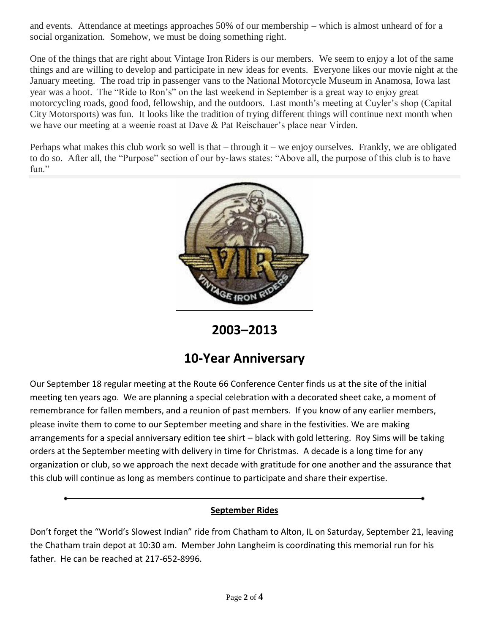and events. Attendance at meetings approaches 50% of our membership – which is almost unheard of for a social organization. Somehow, we must be doing something right.

One of the things that are right about Vintage Iron Riders is our members. We seem to enjoy a lot of the same things and are willing to develop and participate in new ideas for events. Everyone likes our movie night at the January meeting. The road trip in passenger vans to the National Motorcycle Museum in Anamosa, Iowa last year was a hoot. The "Ride to Ron's" on the last weekend in September is a great way to enjoy great motorcycling roads, good food, fellowship, and the outdoors. Last month's meeting at Cuyler's shop (Capital City Motorsports) was fun. It looks like the tradition of trying different things will continue next month when we have our meeting at a weenie roast at Dave & Pat Reischauer's place near Virden.

Perhaps what makes this club work so well is that – through it – we enjoy ourselves. Frankly, we are obligated to do so. After all, the "Purpose" section of our by-laws states: "Above all, the purpose of this club is to have fun."



**2003–2013**

# **10-Year Anniversary**

Our September 18 regular meeting at the Route 66 Conference Center finds us at the site of the initial meeting ten years ago. We are planning a special celebration with a decorated sheet cake, a moment of remembrance for fallen members, and a reunion of past members. If you know of any earlier members, please invite them to come to our September meeting and share in the festivities. We are making arrangements for a special anniversary edition tee shirt – black with gold lettering. Roy Sims will be taking orders at the September meeting with delivery in time for Christmas. A decade is a long time for any organization or club, so we approach the next decade with gratitude for one another and the assurance that this club will continue as long as members continue to participate and share their expertise.

# **September Rides**

Don't forget the "World's Slowest Indian" ride from Chatham to Alton, IL on Saturday, September 21, leaving the Chatham train depot at 10:30 am. Member John Langheim is coordinating this memorial run for his father. He can be reached at 217-652-8996.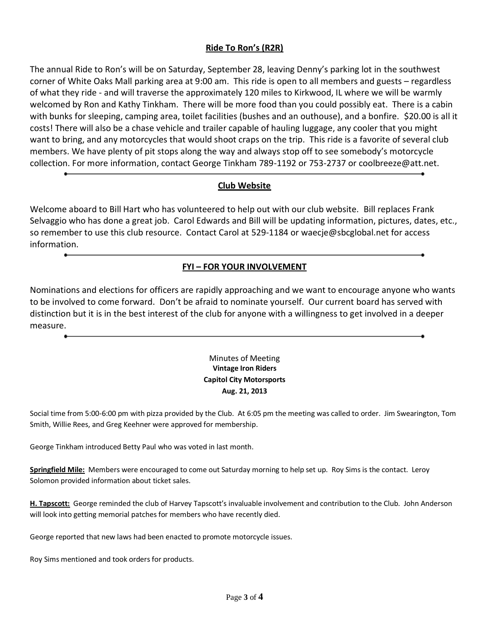#### **Ride To Ron's (R2R)**

The annual Ride to Ron's will be on Saturday, September 28, leaving Denny's parking lot in the southwest corner of White Oaks Mall parking area at 9:00 am. This ride is open to all members and guests – regardless of what they ride - and will traverse the approximately 120 miles to Kirkwood, IL where we will be warmly welcomed by Ron and Kathy Tinkham. There will be more food than you could possibly eat. There is a cabin with bunks for sleeping, camping area, toilet facilities (bushes and an outhouse), and a bonfire. \$20.00 is all it costs! There will also be a chase vehicle and trailer capable of hauling luggage, any cooler that you might want to bring, and any motorcycles that would shoot craps on the trip. This ride is a favorite of several club members. We have plenty of pit stops along the way and always stop off to see somebody's motorcycle collection. For more information, contact George Tinkham 789-1192 or 753-2737 or coolbreeze@att.net.

#### **Club Website**

Welcome aboard to Bill Hart who has volunteered to help out with our club website. Bill replaces Frank Selvaggio who has done a great job. Carol Edwards and Bill will be updating information, pictures, dates, etc., so remember to use this club resource. Contact Carol at 529-1184 or waecje@sbcglobal.net for access information.

#### **FYI – FOR YOUR INVOLVEMENT**

Nominations and elections for officers are rapidly approaching and we want to encourage anyone who wants to be involved to come forward. Don't be afraid to nominate yourself. Our current board has served with distinction but it is in the best interest of the club for anyone with a willingness to get involved in a deeper measure.

#### Minutes of Meeting **Vintage Iron Riders Capitol City Motorsports Aug. 21, 2013**

Social time from 5:00-6:00 pm with pizza provided by the Club. At 6:05 pm the meeting was called to order. Jim Swearington, Tom Smith, Willie Rees, and Greg Keehner were approved for membership.

George Tinkham introduced Betty Paul who was voted in last month.

**Springfield Mile:** Members were encouraged to come out Saturday morning to help set up. Roy Sims is the contact. Leroy Solomon provided information about ticket sales.

**H. Tapscott:** George reminded the club of Harvey Tapscott's invaluable involvement and contribution to the Club. John Anderson will look into getting memorial patches for members who have recently died.

George reported that new laws had been enacted to promote motorcycle issues.

Roy Sims mentioned and took orders for products.